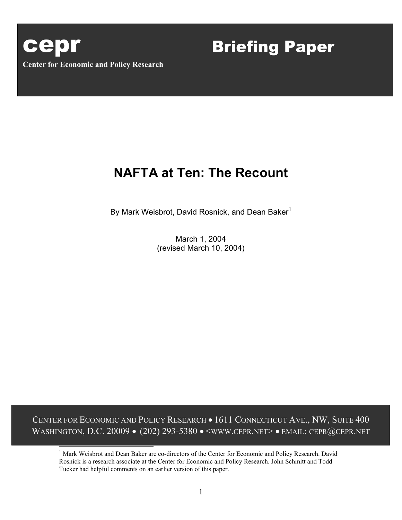

F

# **NAFTA at Ten: The Recount**

By Mark Weisbrot, David Rosnick, and Dean Baker<sup>1</sup>

March 1, 2004 (revised March 10, 2004)

CENTER FOR ECONOMIC AND POLICY RESEARCH • 1611 CONNECTICUT AVE., NW, SUITE 400 WASHINGTON, D.C. 20009 • (202) 293-5380 • <www.cepr.net> • EMAIL: CEPR@CEPR.NET

<span id="page-0-0"></span><sup>1</sup> Mark Weisbrot and Dean Baker are co-directors of the Center for Economic and Policy Research. David Rosnick is a research associate at the Center for Economic and Policy Research. John Schmitt and Todd Tucker had helpful comments on an earlier version of this paper.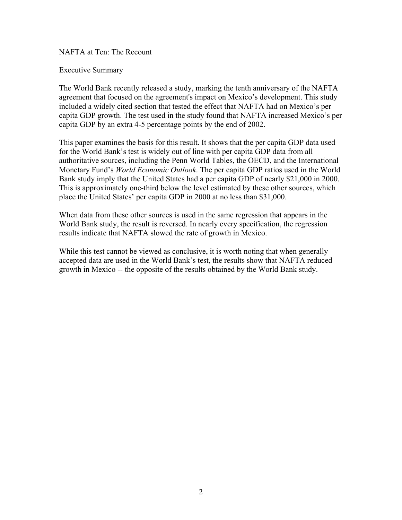NAFTA at Ten: The Recount

Executive Summary

The World Bank recently released a study, marking the tenth anniversary of the NAFTA agreement that focused on the agreement's impact on Mexico's development. This study included a widely cited section that tested the effect that NAFTA had on Mexico's per capita GDP growth. The test used in the study found that NAFTA increased Mexico's per capita GDP by an extra 4-5 percentage points by the end of 2002.

This paper examines the basis for this result. It shows that the per capita GDP data used for the World Bank's test is widely out of line with per capita GDP data from all authoritative sources, including the Penn World Tables, the OECD, and the International Monetary Fund's *World Economic Outlook*. The per capita GDP ratios used in the World Bank study imply that the United States had a per capita GDP of nearly \$21,000 in 2000. This is approximately one-third below the level estimated by these other sources, which place the United States' per capita GDP in 2000 at no less than \$31,000.

When data from these other sources is used in the same regression that appears in the World Bank study, the result is reversed. In nearly every specification, the regression results indicate that NAFTA slowed the rate of growth in Mexico.

While this test cannot be viewed as conclusive, it is worth noting that when generally accepted data are used in the World Bank's test, the results show that NAFTA reduced growth in Mexico -- the opposite of the results obtained by the World Bank study.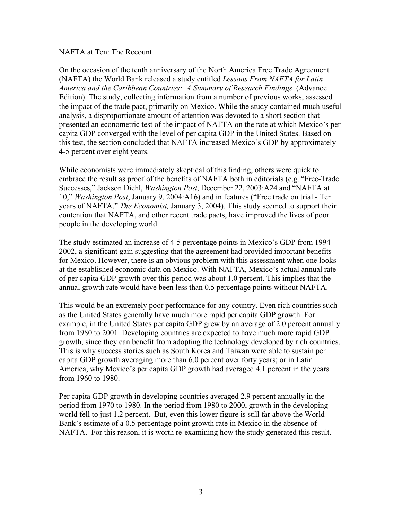# NAFTA at Ten: The Recount

On the occasion of the tenth anniversary of the North America Free Trade Agreement (NAFTA) the World Bank released a study entitled *Lessons From NAFTA for Latin America and the Caribbean Countries: A Summary of Research Findings* (Advance Edition). The study, collecting information from a number of previous works, assessed the impact of the trade pact, primarily on Mexico. While the study contained much useful analysis, a disproportionate amount of attention was devoted to a short section that presented an econometric test of the impact of NAFTA on the rate at which Mexico's per capita GDP converged with the level of per capita GDP in the United States. Based on this test, the section concluded that NAFTA increased Mexico's GDP by approximately 4-5 percent over eight years.

While economists were immediately skeptical of this finding, others were quick to embrace the result as proof of the benefits of NAFTA both in editorials (e.g. "Free-Trade Successes," Jackson Diehl, *Washington Post*, December 22, 2003:A24 and "NAFTA at 10," *Washington Post*, January 9, 2004:A16) and in features ("Free trade on trial - Ten years of NAFTA," *The Economist,* January 3, 2004). This study seemed to support their contention that NAFTA, and other recent trade pacts, have improved the lives of poor people in the developing world.

The study estimated an increase of 4-5 percentage points in Mexico's GDP from 1994- 2002, a significant gain suggesting that the agreement had provided important benefits for Mexico. However, there is an obvious problem with this assessment when one looks at the established economic data on Mexico. With NAFTA, Mexico's actual annual rate of per capita GDP growth over this period was about 1.0 percent. This implies that the annual growth rate would have been less than 0.5 percentage points without NAFTA.

This would be an extremely poor performance for any country. Even rich countries such as the United States generally have much more rapid per capita GDP growth. For example, in the United States per capita GDP grew by an average of 2.0 percent annually from 1980 to 2001. Developing countries are expected to have much more rapid GDP growth, since they can benefit from adopting the technology developed by rich countries. This is why success stories such as South Korea and Taiwan were able to sustain per capita GDP growth averaging more than 6.0 percent over forty years; or in Latin America, why Mexico's per capita GDP growth had averaged 4.1 percent in the years from 1960 to 1980.

Per capita GDP growth in developing countries averaged 2.9 percent annually in the period from 1970 to 1980. In the period from 1980 to 2000, growth in the developing world fell to just 1.2 percent. But, even this lower figure is still far above the World Bank's estimate of a 0.5 percentage point growth rate in Mexico in the absence of NAFTA. For this reason, it is worth re-examining how the study generated this result.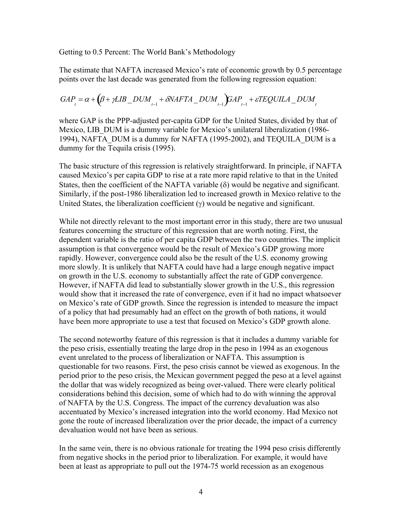Getting to 0.5 Percent: The World Bank's Methodology

The estimate that NAFTA increased Mexico's rate of economic growth by 0.5 percentage points over the last decade was generated from the following regression equation:

$$
GAP_{t} = \alpha + (\beta + \gamma LIB\_DUM_{t-1} + \delta NAFTA\_DUM_{t-1})GAP_{t-1} + \varepsilon TEQUILA\_DUM_{t-1} + \varepsilon T FQUHA\_DUM_{t-1} + \varepsilon T FQUHA\_DUM_{t-1} + \varepsilon T FQUHA\_DUM_{t-1} + \varepsilon T FQUHA\_DUM_{t-1} + \varepsilon T FQUHA\_DUM_{t-1} + \varepsilon T FQUHA\_DUM_{t-1} + \varepsilon T FQUHA\_DUM_{t-1} + \varepsilon T FQUHA\_DUM_{t-1} + \varepsilon T FQUHA\_DUM_{t-1} + \varepsilon T FQUHA\_DUM_{t-1} + \varepsilon T FQUHA\_DUM_{t-1} + \varepsilon T FQUHA\_DUM_{t-1} + \varepsilon T FQUHA\_DUM_{t-1} + \varepsilon T FQUHA\_DUM_{t-1} + \varepsilon T FQUHA\_DUM_{t-1} + \varepsilon T FQUHA\_DUM_{t-1} + \varepsilon T FQUHA\_DUM_{t-1} + \varepsilon T FQUHA\_DUM_{t-1} + \varepsilon T FQUHA\_DUM_{t-1} + \varepsilon T FQUHA\_DUM_{t-1} + \varepsilon T FQUHA\_DUM_{t-1} + \varepsilon T FQUHA\_DUM_{t-1} + \varepsilon T FQUHA\_DUM_{t-1} + \varepsilon T FQUHA\_DUM_{t-1} + \varepsilon T FQUHA\_DUM_{t-1} + \varepsilon T FQUHA\_DUM_{t-1} + \varepsilon T FQUHA\_DUM_{t-1} + \varepsilon T FQUHA\_DUM_{t-1} + \varepsilon T FQUHA\_DUM_{t-1} + \varepsilon T FQUHA\_DUM_{t-1} + \varepsilon T FQUHA\_DUM_{t-1} + \varepsilon T FQUHA\_DUM_{t-1} + \varepsilon T FQUHA\_DUM_{t-1} + \varepsilon T FQUHA\_DUM_{t-1} + \varepsilon T FQUHA\_DUM_{t-1} + \varepsilon T FQUHA\_DUM_{t-1} + \varepsilon T FQUHA\_DUM_{t-1} + \varepsilon T FQUHA\_DUM_{t-1} + \varepsilon T FQUHA\_DUM_{t
$$

where GAP is the PPP-adjusted per-capita GDP for the United States, divided by that of Mexico, LIB DUM is a dummy variable for Mexico's unilateral liberalization (1986-1994), NAFTA\_DUM is a dummy for NAFTA (1995-2002), and TEQUILA\_DUM is a dummy for the Tequila crisis (1995).

The basic structure of this regression is relatively straightforward. In principle, if NAFTA caused Mexico's per capita GDP to rise at a rate more rapid relative to that in the United States, then the coefficient of the NAFTA variable  $(\delta)$  would be negative and significant. Similarly, if the post-1986 liberalization led to increased growth in Mexico relative to the United States, the liberalization coefficient  $(\gamma)$  would be negative and significant.

While not directly relevant to the most important error in this study, there are two unusual features concerning the structure of this regression that are worth noting. First, the dependent variable is the ratio of per capita GDP between the two countries. The implicit assumption is that convergence would be the result of Mexico's GDP growing more rapidly. However, convergence could also be the result of the U.S. economy growing more slowly. It is unlikely that NAFTA could have had a large enough negative impact on growth in the U.S. economy to substantially affect the rate of GDP convergence. However, if NAFTA did lead to substantially slower growth in the U.S., this regression would show that it increased the rate of convergence, even if it had no impact whatsoever on Mexico's rate of GDP growth. Since the regression is intended to measure the impact of a policy that had presumably had an effect on the growth of both nations, it would have been more appropriate to use a test that focused on Mexico's GDP growth alone.

The second noteworthy feature of this regression is that it includes a dummy variable for the peso crisis, essentially treating the large drop in the peso in 1994 as an exogenous event unrelated to the process of liberalization or NAFTA. This assumption is questionable for two reasons. First, the peso crisis cannot be viewed as exogenous. In the period prior to the peso crisis, the Mexican government pegged the peso at a level against the dollar that was widely recognized as being over-valued. There were clearly political considerations behind this decision, some of which had to do with winning the approval of NAFTA by the U.S. Congress. The impact of the currency devaluation was also accentuated by Mexico's increased integration into the world economy. Had Mexico not gone the route of increased liberalization over the prior decade, the impact of a currency devaluation would not have been as serious.

In the same vein, there is no obvious rationale for treating the 1994 peso crisis differently from negative shocks in the period prior to liberalization. For example, it would have been at least as appropriate to pull out the 1974-75 world recession as an exogenous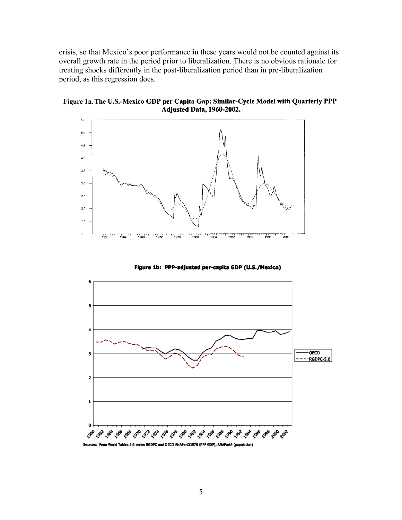crisis, so that Mexico's poor performance in these years would not be counted against its overall growth rate in the period prior to liberalization. There is no obvious rationale for treating shocks differently in the post-liberalization period than in pre-liberalization period, as this regression does.

Figure 1a. The U.S.-Mexico GDP per Capita Gap: Similar-Cycle Model with Quarterly PPP Adjusted Data, 1960-2002.



Figure 1b: PPP-adjusted per-capita GDP (U.S./Mexico)

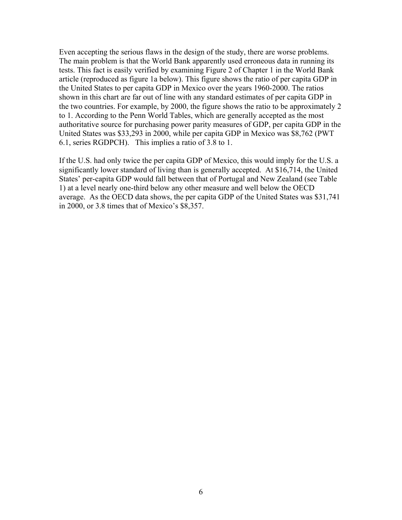Even accepting the serious flaws in the design of the study, there are worse problems. The main problem is that the World Bank apparently used erroneous data in running its tests. This fact is easily verified by examining Figure 2 of Chapter 1 in the World Bank article (reproduced as figure 1a below). This figure shows the ratio of per capita GDP in the United States to per capita GDP in Mexico over the years 1960-2000. The ratios shown in this chart are far out of line with any standard estimates of per capita GDP in the two countries. For example, by 2000, the figure shows the ratio to be approximately 2 to 1. According to the Penn World Tables, which are generally accepted as the most authoritative source for purchasing power parity measures of GDP, per capita GDP in the United States was \$33,293 in 2000, while per capita GDP in Mexico was \$8,762 (PWT 6.1, series RGDPCH). This implies a ratio of 3.8 to 1.

If the U.S. had only twice the per capita GDP of Mexico, this would imply for the U.S. a significantly lower standard of living than is generally accepted. At \$16,714, the United States' per-capita GDP would fall between that of Portugal and New Zealand (see Table 1) at a level nearly one-third below any other measure and well below the OECD average. As the OECD data shows, the per capita GDP of the United States was \$31,741 in 2000, or 3.8 times that of Mexico's \$8,357.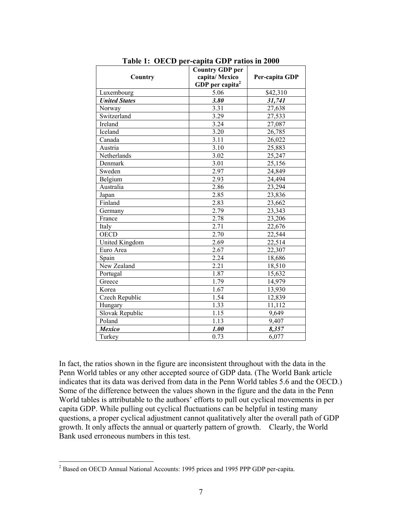|                      | <b>Country GDP</b> per      | Per-capita GDP |  |
|----------------------|-----------------------------|----------------|--|
| Country              | capita/Mexico               |                |  |
|                      | GDP per capita <sup>2</sup> |                |  |
| Luxembourg           | 5.06                        | \$42,310       |  |
| <b>United States</b> | 3.80                        | 31,741         |  |
| Norway               | 3.31                        | 27,638         |  |
| Switzerland          | 3.29                        | 27,533         |  |
| Ireland              | 3.24                        | 27,087         |  |
| Iceland              | 3.20                        | 26,785         |  |
| Canada               | 3.11                        | 26,022         |  |
| Austria              | 3.10                        | 25,883         |  |
| Netherlands          | 3.02                        | 25,247         |  |
| Denmark              | 3.01                        | 25,156         |  |
| Sweden               | 2.97                        | 24,849         |  |
| Belgium              | 2.93                        | 24,494         |  |
| Australia            | 2.86                        | 23,294         |  |
| Japan                | 2.85                        | 23,836         |  |
| Finland              | 2.83                        | 23,662         |  |
| Germany              | 2.79                        | 23,343         |  |
| France               | 2.78                        | 23,206         |  |
| Italy                | 2.71                        | 22,676         |  |
| <b>OECD</b>          | 2.70                        | 22,544         |  |
| United Kingdom       | 2.69                        | 22,514         |  |
| Euro Area            | 2.67                        | 22,307         |  |
| Spain                | 2.24                        | 18,686         |  |
| New Zealand          | 2.21                        | 18,510         |  |
| Portugal             | 1.87                        | 15,632         |  |
| Greece               | 1.79                        | 14,979         |  |
| Korea                | 1.67                        | 13,930         |  |
| Czech Republic       | 1.54                        | 12,839         |  |
| Hungary              | 1.33                        | 11,112         |  |
| Slovak Republic      | 1.15                        | 9,649          |  |
| Poland               | 1.13                        | 9,407          |  |
| <b>Mexico</b>        | 1.00                        | 8,357          |  |
| Turkey               | 0.73                        | 6,077          |  |

**Table 1: OECD per-capita GDP ratios in 2000** 

In fact, the ratios shown in the figure are inconsistent throughout with the data in the Penn World tables or any other accepted source of GDP data. (The World Bank article indicates that its data was derived from data in the Penn World tables 5.6 and the OECD.) Some of the difference between the values shown in the figure and the data in the Penn World tables is attributable to the authors' efforts to pull out cyclical movements in per capita GDP. While pulling out cyclical fluctuations can be helpful in testing many questions, a proper cyclical adjustment cannot qualitatively alter the overall path of GDP growth. It only affects the annual or quarterly pattern of growth. Clearly, the World Bank used erroneous numbers in this test.

<span id="page-6-0"></span> $\frac{1}{2}$ <sup>2</sup> Based on OECD Annual National Accounts: 1995 prices and 1995 PPP GDP per-capita.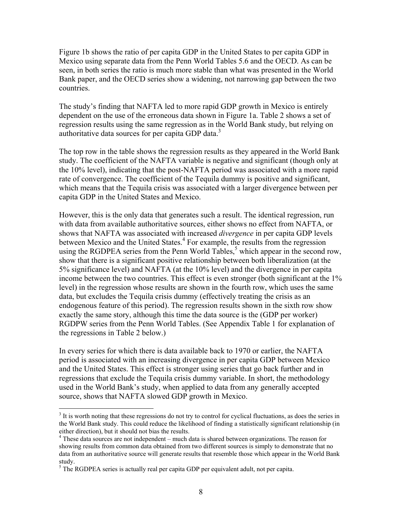Figure 1b shows the ratio of per capita GDP in the United States to per capita GDP in Mexico using separate data from the Penn World Tables 5.6 and the OECD. As can be seen, in both series the ratio is much more stable than what was presented in the World Bank paper, and the OECD series show a widening, not narrowing gap between the two countries.

The study's finding that NAFTA led to more rapid GDP growth in Mexico is entirely dependent on the use of the erroneous data shown in Figure 1a. Table 2 shows a set of regression results using the same regression as in the World Bank study, but relying on authoritative data sources for per capita GDP data.<sup>3</sup>

The top row in the table shows the regression results as they appeared in the World Bank study. The coefficient of the NAFTA variable is negative and significant (though only at the 10% level), indicating that the post-NAFTA period was associated with a more rapid rate of convergence. The coefficient of the Tequila dummy is positive and significant, which means that the Tequila crisis was associated with a larger divergence between per capita GDP in the United States and Mexico.

However, this is the only data that generates such a result. The identical regression, run with data from available authoritative sources, either shows no effect from NAFTA, or shows that NAFTA was associated with increased *divergence* in per capita GDP levels between Mexico and the United States.<sup>[4](#page-7-1)</sup> For example, the results from the regression using the RGDPEA series from the Penn World Tables, $<sup>5</sup>$  which appear in the second row,</sup> show that there is a significant positive relationship between both liberalization (at the 5% significance level) and NAFTA (at the 10% level) and the divergence in per capita income between the two countries. This effect is even stronger (both significant at the 1% level) in the regression whose results are shown in the fourth row, which uses the same data, but excludes the Tequila crisis dummy (effectively treating the crisis as an endogenous feature of this period). The regression results shown in the sixth row show exactly the same story, although this time the data source is the (GDP per worker) RGDPW series from the Penn World Tables. (See Appendix Table 1 for explanation of the regressions in Table 2 below.)

In every series for which there is data available back to 1970 or earlier, the NAFTA period is associated with an increasing divergence in per capita GDP between Mexico and the United States. This effect is stronger using series that go back further and in regressions that exclude the Tequila crisis dummy variable. In short, the methodology used in the World Bank's study, when applied to data from any generally accepted source, shows that NAFTA slowed GDP growth in Mexico.

<span id="page-7-0"></span> <sup>3</sup>  $3$  It is worth noting that these regressions do not try to control for cyclical fluctuations, as does the series in the World Bank study. This could reduce the likelihood of finding a statistically significant relationship (in either direction), but it should not bias the results. 4

<span id="page-7-1"></span><sup>&</sup>lt;sup>4</sup> These data sources are not independent – much data is shared between organizations. The reason for showing results from common data obtained from two different sources is simply to demonstrate that no data from an authoritative source will generate results that resemble those which appear in the World Bank study.

<span id="page-7-2"></span> $<sup>5</sup>$  The RGDPEA series is actually real per capita GDP per equivalent adult, not per capita.</sup>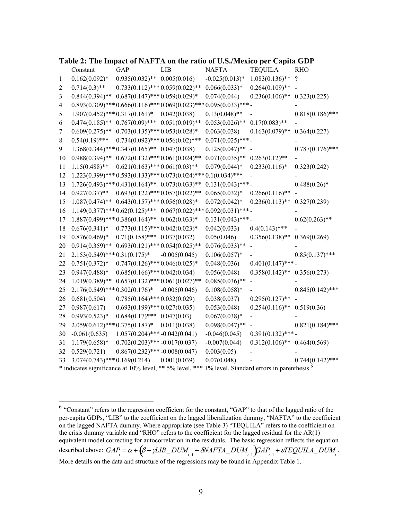|                  |                                                                                                                |                                                         |                                                                             |                     | co per cup                       |                          |
|------------------|----------------------------------------------------------------------------------------------------------------|---------------------------------------------------------|-----------------------------------------------------------------------------|---------------------|----------------------------------|--------------------------|
|                  | Constant                                                                                                       | <b>GAP</b>                                              | LIB                                                                         | <b>NAFTA</b>        | <b>TEQUILA</b>                   | <b>RHO</b>               |
| $\mathbf{1}$     | $0.162(0.092)*$                                                                                                | $0.935(0.032)$ ** $0.005(0.016)$                        |                                                                             | $-0.025(0.013)*$    | $1.083(0.136)$ **                | $\overline{\mathcal{L}}$ |
| $\overline{2}$   | $0.714(0.3)$ **                                                                                                | $0.733(0.112)$ *** $0.059(0.022)$ **                    |                                                                             | $0.066(0.033)*$     | $0.264(0.109)$ **                |                          |
| $\mathfrak{Z}$   | $0.844(0.394)$ **                                                                                              | $0.687(0.147)$ *** $0.059(0.029)$ *                     |                                                                             | 0.074(0.044)        | $0.236(0.106)$ **                | 0.323(0.225)             |
| $\overline{4}$   |                                                                                                                |                                                         | $0.893(0.309)$ *** $0.666(0.116)$ *** $0.069(0.023)$ *** $0.095(0.033)$ *** |                     |                                  |                          |
| 5                | $1.907(0.452)$ *** $0.317(0.161)$ *                                                                            |                                                         | 0.042(0.038)                                                                | $0.13(0.048)$ **    |                                  | $0.818(0.186)$ ***       |
| 6                | $0.474(0.185)$ **                                                                                              | $0.767(0.09)$ *** $0.051(0.019)$ **                     |                                                                             | $0.053(0.026)$ **   | $0.17(0.083)$ **                 |                          |
| $\boldsymbol{7}$ | $0.609(0.275)$ **                                                                                              | $0.703(0.135)$ *** $0.053(0.028)$ *                     |                                                                             | 0.063(0.038)        | $0.163(0.079)$ **                | 0.364(0.227)             |
| $\,$ $\,$        | $0.54(0.19)$ ***                                                                                               | $0.734(0.092)$ *** $0.056(0.02)$ ***                    |                                                                             | $0.071(0.025)$ ***- |                                  |                          |
| 9                |                                                                                                                | $1.368(0.344)$ *** $0.347(0.165)$ ** $0.047(0.038)$     |                                                                             | $0.125(0.047)$ **   | $\overline{a}$                   | $0.787(0.176)$ ***       |
| 10               | $0.988(0.394)$ **                                                                                              | $0.672(0.132)$ *** $0.061(0.024)$ **                    |                                                                             | $0.071(0.035)$ **   | $0.263(0.12)$ **                 |                          |
| 11               | $1.15(0.488)$ **                                                                                               | $0.621(0.163)$ *** $0.061(0.03)$ **                     |                                                                             | $0.079(0.044)*$     | $0.233(0.116)*$                  | 0.323(0.242)             |
| 12               |                                                                                                                |                                                         | $1.223(0.399)$ *** $0.593(0.133)$ *** $0.073(0.024)$ *** $0.1(0.034)$ ***   |                     |                                  |                          |
| 13               |                                                                                                                | $1.726(0.493)$ *** $0.431(0.164)$ ** $0.073(0.033)$ **  |                                                                             | $0.131(0.043)$ ***- |                                  | $0.488(0.26)$ *          |
| 14               | $0.927(0.37)$ **                                                                                               | $0.693(0.122)$ *** $0.057(0.022)$ **                    |                                                                             | $0.065(0.032)*$     | $0.266(0.116)$ **                |                          |
| 15               | $1.087(0.474)$ **                                                                                              | $0.643(0.157)$ *** $0.056(0.028)$ *                     |                                                                             | $0.072(0.042)*$     | $0.236(0.113)$ **                | 0.327(0.239)             |
| 16               |                                                                                                                |                                                         | $1.149(0.377)$ *** $0.62(0.125)$ *** $0.067(0.022)$ *** $0.092(0.031)$ ***  |                     |                                  |                          |
| 17               |                                                                                                                | $1.887(0.499)$ *** 0.386 $(0.164)$ ** 0.062 $(0.033)$ * |                                                                             | $0.131(0.043)$ ***- |                                  | $0.62(0.263)$ **         |
| 18               | $0.676(0.341)*$                                                                                                | $0.773(0.115)$ *** $0.042(0.023)$ *                     |                                                                             | 0.042(0.033)        | $0.4(0.143)$ ***                 |                          |
| 19               | $0.876(0.469)*$                                                                                                | $0.71(0.158)$ *** $0.037(0.032)$                        |                                                                             | 0.05(0.046)         | $0.356(0.138)$ **                | 0.369(0.269)             |
| 20               | $0.914(0.359)**$                                                                                               | $0.693(0.121)$ *** $0.054(0.025)$ **                    |                                                                             | $0.076(0.033)**$    |                                  |                          |
| 21               | $2.153(0.549)$ *** $0.31(0.175)$ *                                                                             |                                                         | $-0.005(0.045)$                                                             | $0.106(0.057)$ *    |                                  | $0.85(0.137)$ ***        |
| 22               | $0.751(0.372)*$                                                                                                | $0.747(0.126)$ *** $0.046(0.025)$ *                     |                                                                             | 0.048(0.036)        | $0.401(0.147)$ ***-              |                          |
| 23               | $0.947(0.488)*$                                                                                                | $0.685(0.166)$ *** $0.042(0.034)$                       |                                                                             | 0.056(0.048)        | $0.358(0.142)$ ** $0.356(0.273)$ |                          |
| 24               | $1.019(0.389)$ **                                                                                              | $0.657(0.132)$ *** $0.061(0.027)$ **                    |                                                                             | $0.085(0.036)$ **   |                                  |                          |
| 25               | $2.176(0.549)$ *** $0.302(0.176)$ *                                                                            |                                                         | $-0.005(0.046)$                                                             | $0.108(0.058)*$     |                                  | $0.845(0.142)$ ***       |
| 26               | 0.681(0.504)                                                                                                   | $0.785(0.164)$ *** $0.032(0.029)$                       |                                                                             | 0.038(0.037)        | $0.295(0.127)$ **                |                          |
| 27               | 0.987(0.617)                                                                                                   | $0.693(0.199)$ *** $0.027(0.035)$                       |                                                                             | 0.053(0.048)        | $0.254(0.116)$ **                | 0.519(0.36)              |
| 28               | $0.993(0.523)*$                                                                                                | $0.684(0.17)$ ***                                       | 0.047(0.03)                                                                 | $0.067(0.038)*$     |                                  |                          |
| 29               | $2.059(0.612)$ *** $0.375(0.187)$ *                                                                            |                                                         | 0.011(0.038)                                                                | $0.098(0.047)$ **   |                                  | $0.821(0.184)$ ***       |
| 30               | $-0.061(0.635)$                                                                                                | $1.057(0.204)$ ***-0.042(0.041)                         |                                                                             | $-0.046(0.045)$     | $0.391(0.132)$ ***-              |                          |
| 31               | $1.179(0.658)*$                                                                                                | $0.702(0.203)$ ***-0.017(0.037)                         |                                                                             | $-0.007(0.044)$     | $0.312(0.106)$ ** $0.464(0.569)$ |                          |
| 32               | 0.529(0.721)                                                                                                   | $0.867(0.232)$ ***-0.008(0.047)                         |                                                                             | 0.003(0.05)         |                                  |                          |
| 33               | $3.074(0.743)$ *** $0.169(0.214)$                                                                              |                                                         | 0.001(0.039)                                                                | 0.07(0.048)         |                                  | $0.744(0.142)$ ***       |
|                  | * indicates significance at 10% level, ** 5% level, *** 1% level. Standard errors in parenthesis. <sup>6</sup> |                                                         |                                                                             |                     |                                  |                          |

### **Table 2: The Impact of NAFTA on the ratio of U.S./Mexico per Capita GDP**

<span id="page-8-0"></span><sup>&</sup>lt;sup>6</sup> "Constant" refers to the regression coefficient for the constant, "GAP" to that of the lagged ratio of the per-capita GDPs, "LIB" to the coefficient on the lagged liberalization dummy, "NAFTA" to the coefficient on the lagged NAFTA dummy. Where appropriate (see Table 3) "TEQUILA" refers to the coefficient on the crisis dummy variable and "RHO" refers to the coefficient for the lagged residual for the AR(1) equivalent model correcting for autocorrelation in the residuals. The basic regression reflects the equation described above:  $GAP_t = \alpha + (\beta + \gamma LIB\_DUM_{t-1} + \delta NAFTA\_DUM_{t-1})\overline{AAP_{t-1}} + \varepsilon TEQUILA\_DUM_{t-1}$ More details on the data and structure of the regressions may be found in Appendix Table 1.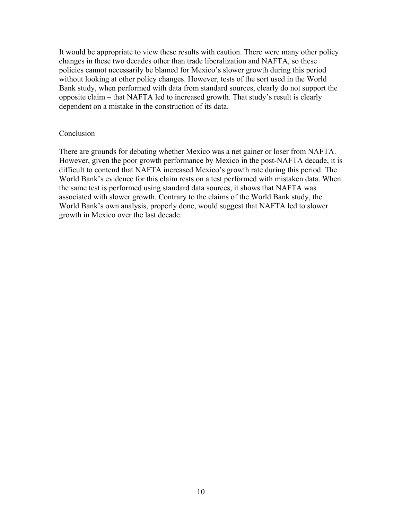It would be appropriate to view these results with caution. There were many other policy changes in these two decades other than trade liberalization and NAFTA, so these policies cannot necessarily be blamed for Mexico's slower growth during this period without looking at other policy changes. However, tests of the sort used in the World Bank study, when performed with data from standard sources, clearly do not support the opposite claim – that NAFTA led to increased growth. That study's result is clearly dependent on a mistake in the construction of its data.

## **Conclusion**

There are grounds for debating whether Mexico was a net gainer or loser from NAFTA. However, given the poor growth performance by Mexico in the post-NAFTA decade, it is difficult to contend that NAFTA increased Mexico's growth rate during this period. The World Bank's evidence for this claim rests on a test performed with mistaken data. When the same test is performed using standard data sources, it shows that NAFTA was associated with slower growth. Contrary to the claims of the World Bank study, the World Bank's own analysis, properly done, would suggest that NAFTA led to slower growth in Mexico over the last decade.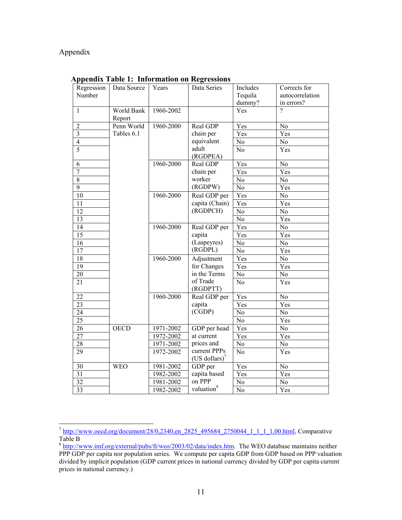# Appendix

| Regression      | Data Source          | Years     | Data Series                               | Includes        | Corrects for    |
|-----------------|----------------------|-----------|-------------------------------------------|-----------------|-----------------|
| Number          |                      |           |                                           | Tequila         | autocorrelation |
|                 |                      |           |                                           | dummy?          | in errors?      |
| $\mathbf{1}$    | World Bank<br>Report | 1960-2002 |                                           | Yes             | $\gamma$        |
| $\overline{c}$  | Penn World           | 1960-2000 | Real GDP                                  | Yes             | N <sub>o</sub>  |
| $\overline{3}$  | Tables 6.1           |           | chain per                                 | Yes             | Yes             |
| $\overline{4}$  |                      |           | equivalent                                | No              | N <sub>o</sub>  |
| 5               |                      |           | adult<br>(RGDPEA)                         | No              | Yes             |
| 6               |                      | 1960-2000 | Real GDP                                  | Yes             | $\rm No$        |
| $\overline{7}$  |                      |           | chain per                                 | Yes             | Yes             |
| 8               |                      |           | worker                                    | $\rm No$        | No              |
| 9               |                      |           | (RGDPW)                                   | $\rm No$        | Yes             |
| 10              |                      | 1960-2000 | Real GDP per                              | Yes             | N <sub>o</sub>  |
| 11              |                      |           | capita (Chain)                            | Yes             | Yes             |
| $\overline{12}$ |                      |           | (RGDPCH)                                  | N <sub>o</sub>  | N <sub>o</sub>  |
| 13              |                      |           |                                           | No              | Yes             |
| 14              |                      | 1960-2000 | Real GDP per                              | Yes             | No              |
| 15              |                      |           | capita                                    | Yes             | Yes             |
| 16              |                      |           | (Laspeyres)                               | No              | No              |
| 17              |                      |           | (RGDPL)                                   | N <sub>o</sub>  | Yes             |
| 18              |                      | 1960-2000 | Adjustment                                | Yes             | No              |
| 19              |                      |           | for Changes                               | Yes             | Yes             |
| 20              |                      |           | in the Terms                              | $\rm No$        | N <sub>o</sub>  |
| 21              |                      |           | of Trade<br>(RGDPTT)                      | N <sub>o</sub>  | Yes             |
| 22              |                      | 1960-2000 | Real GDP per                              | Yes             | $\rm No$        |
| $\overline{23}$ |                      |           | capita                                    | Yes             | Yes             |
| 24              |                      |           | (CGDP)                                    | No              | No              |
| 25              |                      |           |                                           | No              | Yes             |
| 26              | <b>OECD</b>          | 1971-2002 | GDP per head                              | Yes             | N <sub>o</sub>  |
| $\overline{27}$ |                      | 1972-2002 | at current                                | Yes             | Yes             |
| $\overline{28}$ |                      | 1971-2002 | prices and                                | $\overline{No}$ | $\overline{No}$ |
| 29              |                      | 1972-2002 | current PPPs<br>(US dollars) <sup>7</sup> | $\overline{No}$ | Yes             |
| 30              | <b>WEO</b>           | 1981-2002 | GDP per                                   | Yes             | No              |
| 31              |                      | 1982-2002 | capita based                              | Yes             | Yes             |
| 32              |                      | 1981-2002 | on PPP                                    | No              | No              |
| 33              |                      | 1982-2002 | valuation <sup>8</sup>                    | $\overline{No}$ | Yes             |

**Appendix Table 1: Information on Regressions** 

<span id="page-10-0"></span> <sup>7</sup> [http://www.oecd.org/document/28/0,2340,en\\_2825\\_495684\\_2750044\\_1\\_1\\_1\\_1,00.html,](http://www.oecd.org/document/28/0,2340,en_2825_495684_2750044_1_1_1_1,00.html) Comparative Table B

<span id="page-10-1"></span> $8 \frac{\text{http://www.imf.org/external/pubs/ft/weo/2003/02/data/index.htm.}}{\text{http://www.imf.org/external/pubs/ft/weo/2003/02/data/index.htm.}}$  $8 \frac{\text{http://www.imf.org/external/pubs/ft/weo/2003/02/data/index.htm.}}{\text{http://www.imf.org/external/pubs/ft/weo/2003/02/data/index.htm.}}$  $8 \frac{\text{http://www.imf.org/external/pubs/ft/weo/2003/02/data/index.htm.}}{\text{http://www.imf.org/external/pubs/ft/weo/2003/02/data/index.htm.}}$  The WEO database maintains neither PPP GDP per capita nor population series. We compute per capita GDP from GDP based on PPP valuation divided by implicit population (GDP current prices in national currency divided by GDP per capita current prices in national currency.)